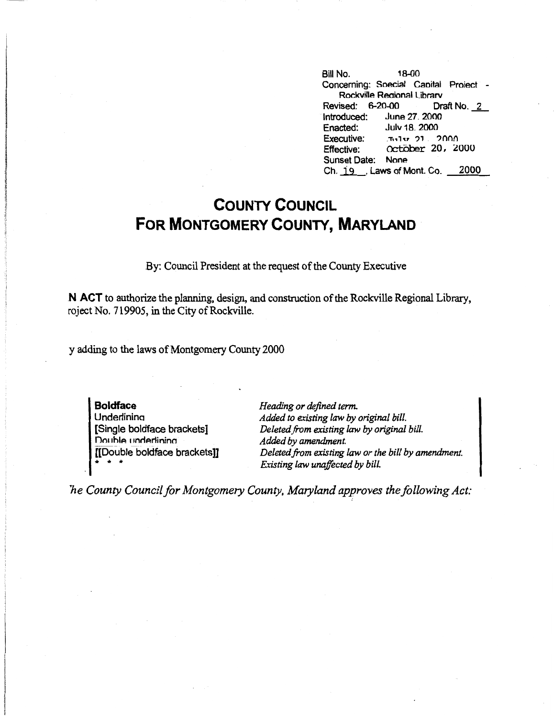Bill No. 18-00 Concerning: Soecial Caoital Proiect - **Rockville** Reaional Librarv Revised: 6-20-00 Draft No. 2<br>Introduced: June 27, 2000 June 27, 2000 Enacted: Julv 18. 2000 Executive:  $\frac{1}{2}$  71 2000 Effective: October 20, 2000 Sunset Date: None Ch. 19 . Laws of Mont. Co. 2000

## **COUNTY COUNCIL FOR MONTGOMERY COUNTY, MARYLAND**

By: Council President at the request of the County Executive

**.N ACT** to authorize the planning, design, and construction of the Rockville Regional Library, roject No. 719905, in the City of Rockville.

y adding to the laws of Montgomery County 2000

**Boldface Underlining** [Single boldface brackets] Double underlining [[Double boldface brackets]] • • •

*Heading or defined term. Added to existing law by original bill. Deleted.from existing law by original bill. Added by amendment. Deleted from existing law or the bill by amendment. Existing law unaffected by bill.* 

*ne County Council for Montgomery County, Maryland approves the following Act:*